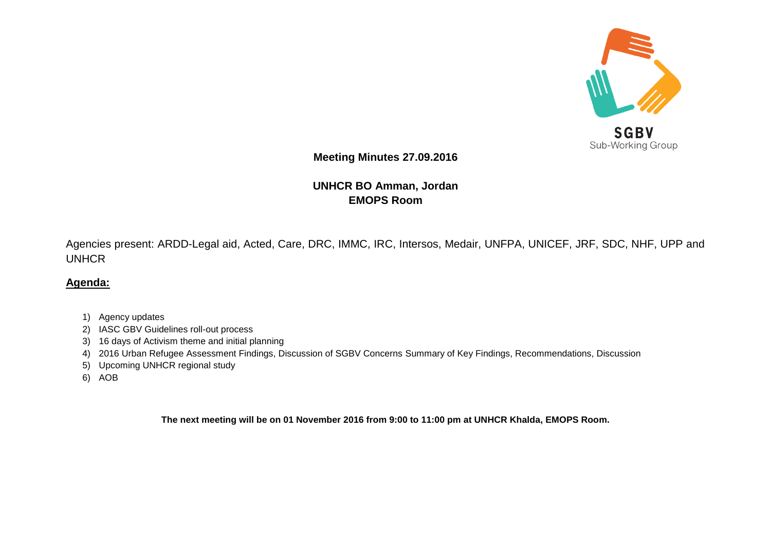

Sub-Working Group

**Meeting Minutes 27.09.2016**

**UNHCR BO Amman, Jordan EMOPS Room**

Agencies present: ARDD-Legal aid, Acted, Care, DRC, IMMC, IRC, Intersos, Medair, UNFPA, UNICEF, JRF, SDC, NHF, UPP and UNHCR

## **Agenda:**

- 1) Agency updates
- 2) IASC GBV Guidelines roll-out process
- 3) 16 days of Activism theme and initial planning
- 4) 2016 Urban Refugee Assessment Findings, Discussion of SGBV Concerns Summary of Key Findings, Recommendations, Discussion
- 5) Upcoming UNHCR regional study
- 6) AOB

**The next meeting will be on 01 November 2016 from 9:00 to 11:00 pm at UNHCR Khalda, EMOPS Room.**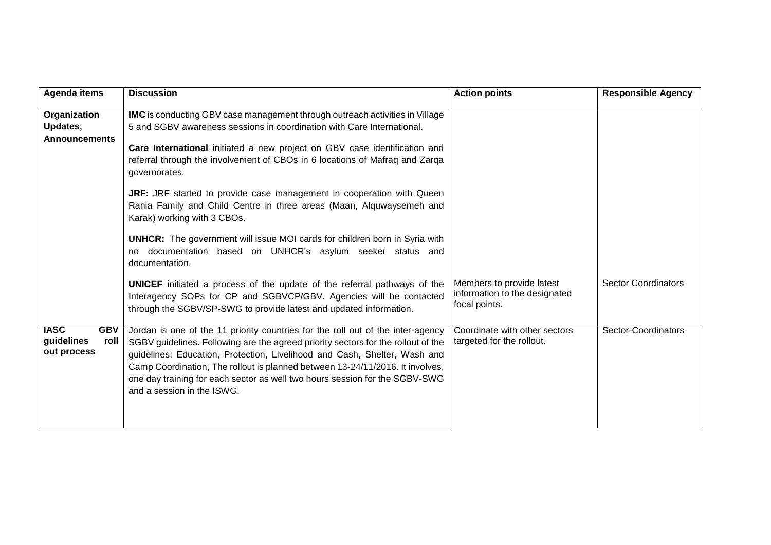| <b>Agenda items</b>                                            | <b>Discussion</b>                                                                                                                                                                                                                                                                                                                                                                                                                                                                                                                                                                                                                                                                                                                                                                                                                                                                                                                  | <b>Action points</b>                                                        | <b>Responsible Agency</b>  |
|----------------------------------------------------------------|------------------------------------------------------------------------------------------------------------------------------------------------------------------------------------------------------------------------------------------------------------------------------------------------------------------------------------------------------------------------------------------------------------------------------------------------------------------------------------------------------------------------------------------------------------------------------------------------------------------------------------------------------------------------------------------------------------------------------------------------------------------------------------------------------------------------------------------------------------------------------------------------------------------------------------|-----------------------------------------------------------------------------|----------------------------|
| Organization<br>Updates,<br><b>Announcements</b>               | <b>IMC</b> is conducting GBV case management through outreach activities in Village<br>5 and SGBV awareness sessions in coordination with Care International.<br>Care International initiated a new project on GBV case identification and<br>referral through the involvement of CBOs in 6 locations of Mafraq and Zarqa<br>governorates.<br>JRF: JRF started to provide case management in cooperation with Queen<br>Rania Family and Child Centre in three areas (Maan, Alquwaysemeh and<br>Karak) working with 3 CBOs.<br><b>UNHCR:</b> The government will issue MOI cards for children born in Syria with<br>documentation based on UNHCR's asylum seeker status and<br>no.<br>documentation.<br><b>UNICEF</b> initiated a process of the update of the referral pathways of the<br>Interagency SOPs for CP and SGBVCP/GBV. Agencies will be contacted<br>through the SGBV/SP-SWG to provide latest and updated information. | Members to provide latest<br>information to the designated<br>focal points. | <b>Sector Coordinators</b> |
| <b>IASC</b><br><b>GBV</b><br>guidelines<br>roll<br>out process | Jordan is one of the 11 priority countries for the roll out of the inter-agency<br>SGBV guidelines. Following are the agreed priority sectors for the rollout of the<br>guidelines: Education, Protection, Livelihood and Cash, Shelter, Wash and<br>Camp Coordination, The rollout is planned between 13-24/11/2016. It involves,<br>one day training for each sector as well two hours session for the SGBV-SWG<br>and a session in the ISWG.                                                                                                                                                                                                                                                                                                                                                                                                                                                                                    | Coordinate with other sectors<br>targeted for the rollout.                  | Sector-Coordinators        |